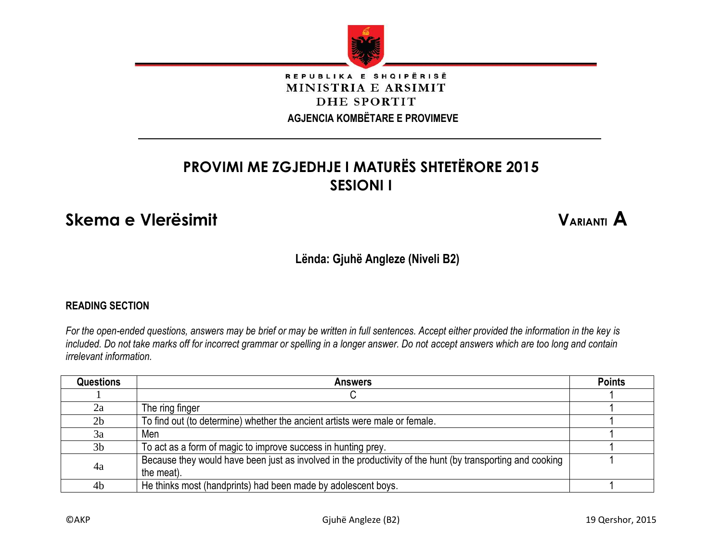

## REPUBLIKA E SHQIPËRISË MINISTRIA E ARSIMIT DHE SPORTIT

 **AGJENCIA KOMBËTARE E PROVIMEVE**

# **PROVIMI ME ZGJEDHJE I MATURËS SHTETËRORE 2015 SESIONI I**

# **Skema e Vlerësimit VARIANTI A**

**Lënda: Gjuhë Angleze (Niveli B2)**

## **READING SECTION**

*For the open-ended questions, answers may be brief or may be written in full sentences. Accept either provided the information in the key is included. Do not take marks off for incorrect grammar or spelling in a longer answer. Do not accept answers which are too long and contain irrelevant information.*

| <b>Questions</b> | <b>Answers</b>                                                                                                           | <b>Points</b> |
|------------------|--------------------------------------------------------------------------------------------------------------------------|---------------|
|                  |                                                                                                                          |               |
| 2a               | The ring finger                                                                                                          |               |
| 2 <sub>b</sub>   | To find out (to determine) whether the ancient artists were male or female.                                              |               |
| 3a               | Men                                                                                                                      |               |
| 3 <sub>b</sub>   | To act as a form of magic to improve success in hunting prey.                                                            |               |
| 4a               | Because they would have been just as involved in the productivity of the hunt (by transporting and cooking<br>the meat). |               |
| 4 <sub>b</sub>   | He thinks most (handprints) had been made by adolescent boys.                                                            |               |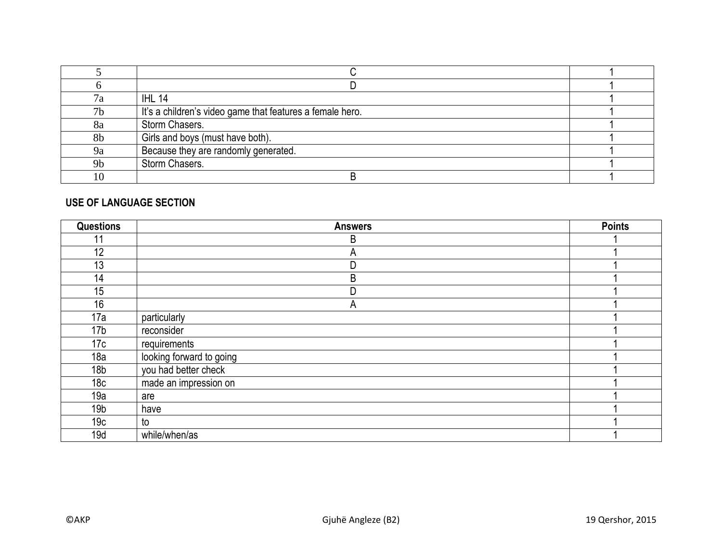| 7a             | <b>IHL 14</b>                                             |  |
|----------------|-----------------------------------------------------------|--|
| 7 <sub>b</sub> | It's a children's video game that features a female hero. |  |
| 8a             | Storm Chasers.                                            |  |
| 8b             | Girls and boys (must have both).                          |  |
| <sub>9</sub> a | Because they are randomly generated.                      |  |
| 9 <sub>b</sub> | Storm Chasers.                                            |  |
| 10             |                                                           |  |

#### **USE OF LANGUAGE SECTION**

| <b>Questions</b> | <b>Answers</b>           | <b>Points</b> |
|------------------|--------------------------|---------------|
| 11               | B                        |               |
| 12               | A                        |               |
| 13               | D                        |               |
| 14               | $\sf B$                  |               |
| 15               | D                        |               |
| 16               | A                        |               |
| 17a              | particularly             |               |
| 17 <sub>b</sub>  | reconsider               |               |
| 17c              | requirements             |               |
| 18a              | looking forward to going |               |
| 18 <sub>b</sub>  | you had better check     |               |
| 18 <sub>c</sub>  | made an impression on    |               |
| 19a              | are                      |               |
| 19 <sub>b</sub>  | have                     |               |
| 19 <sub>c</sub>  | to                       |               |
| 19d              | while/when/as            |               |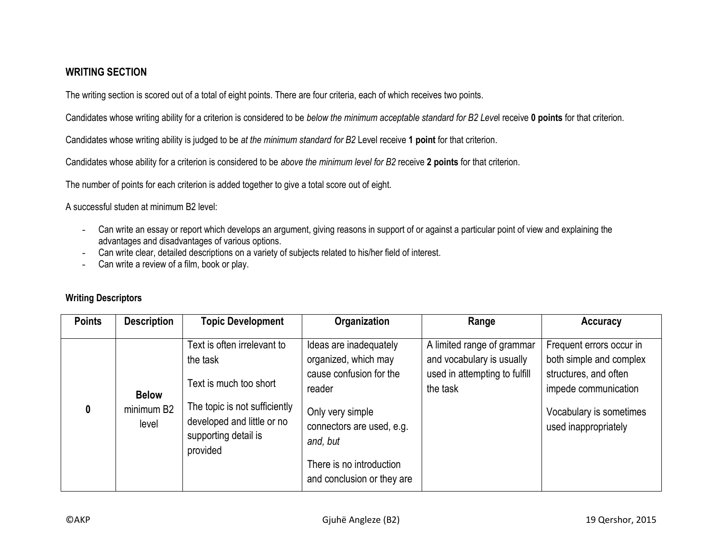#### **WRITING SECTION**

The writing section is scored out of a total of eight points. There are four criteria, each of which receives two points.

Candidates whose writing ability for a criterion is considered to be *below the minimum acceptable standard for B2 Leve*l receive **0 points** for that criterion.

Candidates whose writing ability is judged to be *at the minimum standard for B2* Level receive **1 point** for that criterion.

Candidates whose ability for a criterion is considered to be *above the minimum level for B2* receive **2 points** for that criterion.

The number of points for each criterion is added together to give a total score out of eight.

A successful studen at minimum B2 level:

- Can write an essay or report which develops an argument, giving reasons in support of or against a particular point of view and explaining the advantages and disadvantages of various options.
- Can write clear, detailed descriptions on a variety of subjects related to his/her field of interest.
- Can write a review of a film, book or play.

| <b>Points</b> | <b>Description</b>                  | <b>Topic Development</b>                                                                                                                                             | Organization                                                                                                                                                                                               | Range                                                                                                | <b>Accuracy</b>                                                                                                                                         |
|---------------|-------------------------------------|----------------------------------------------------------------------------------------------------------------------------------------------------------------------|------------------------------------------------------------------------------------------------------------------------------------------------------------------------------------------------------------|------------------------------------------------------------------------------------------------------|---------------------------------------------------------------------------------------------------------------------------------------------------------|
| 0             | <b>Below</b><br>minimum B2<br>level | Text is often irrelevant to<br>the task<br>Text is much too short<br>The topic is not sufficiently<br>developed and little or no<br>supporting detail is<br>provided | Ideas are inadequately<br>organized, which may<br>cause confusion for the<br>reader<br>Only very simple<br>connectors are used, e.g.<br>and, but<br>There is no introduction<br>and conclusion or they are | A limited range of grammar<br>and vocabulary is usually<br>used in attempting to fulfill<br>the task | Frequent errors occur in<br>both simple and complex<br>structures, and often<br>impede communication<br>Vocabulary is sometimes<br>used inappropriately |

## **Writing Descriptors**